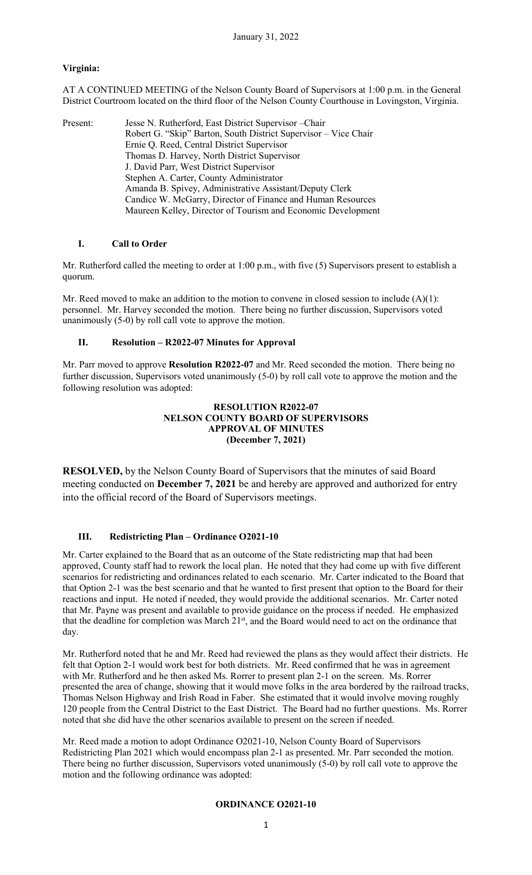# **Virginia:**

AT A CONTINUED MEETING of the Nelson County Board of Supervisors at 1:00 p.m. in the General District Courtroom located on the third floor of the Nelson County Courthouse in Lovingston, Virginia.

Present: Jesse N. Rutherford, East District Supervisor – Chair Robert G. "Skip" Barton, South District Supervisor – Vice Chair Ernie Q. Reed, Central District Supervisor Thomas D. Harvey, North District Supervisor J. David Parr, West District Supervisor Stephen A. Carter, County Administrator Amanda B. Spivey, Administrative Assistant/Deputy Clerk Candice W. McGarry, Director of Finance and Human Resources Maureen Kelley, Director of Tourism and Economic Development

## **I. Call to Order**

Mr. Rutherford called the meeting to order at 1:00 p.m., with five (5) Supervisors present to establish a quorum.

Mr. Reed moved to make an addition to the motion to convene in closed session to include  $(A)(1)$ : personnel. Mr. Harvey seconded the motion. There being no further discussion, Supervisors voted unanimously (5-0) by roll call vote to approve the motion.

# **II. Resolution – R2022-07 Minutes for Approval**

Mr. Parr moved to approve **Resolution R2022-07** and Mr. Reed seconded the motion. There being no further discussion, Supervisors voted unanimously (5-0) by roll call vote to approve the motion and the following resolution was adopted:

# **RESOLUTION R2022-07 NELSON COUNTY BOARD OF SUPERVISORS APPROVAL OF MINUTES (December 7, 2021)**

**RESOLVED,** by the Nelson County Board of Supervisors that the minutes of said Board meeting conducted on **December 7, 2021** be and hereby are approved and authorized for entry into the official record of the Board of Supervisors meetings.

# **III. Redistricting Plan – Ordinance O2021-10**

Mr. Carter explained to the Board that as an outcome of the State redistricting map that had been approved, County staff had to rework the local plan. He noted that they had come up with five different scenarios for redistricting and ordinances related to each scenario. Mr. Carter indicated to the Board that that Option 2-1 was the best scenario and that he wanted to first present that option to the Board for their reactions and input. He noted if needed, they would provide the additional scenarios. Mr. Carter noted that Mr. Payne was present and available to provide guidance on the process if needed. He emphasized that the deadline for completion was March 21<sup>st</sup>, and the Board would need to act on the ordinance that day.

Mr. Rutherford noted that he and Mr. Reed had reviewed the plans as they would affect their districts. He felt that Option 2-1 would work best for both districts. Mr. Reed confirmed that he was in agreement with Mr. Rutherford and he then asked Ms. Rorrer to present plan 2-1 on the screen. Ms. Rorrer presented the area of change, showing that it would move folks in the area bordered by the railroad tracks, Thomas Nelson Highway and Irish Road in Faber. She estimated that it would involve moving roughly 120 people from the Central District to the East District. The Board had no further questions. Ms. Rorrer noted that she did have the other scenarios available to present on the screen if needed.

Mr. Reed made a motion to adopt Ordinance O2021-10, Nelson County Board of Supervisors Redistricting Plan 2021 which would encompass plan 2-1 as presented. Mr. Parr seconded the motion. There being no further discussion, Supervisors voted unanimously (5-0) by roll call vote to approve the motion and the following ordinance was adopted:

# **ORDINANCE O2021-10**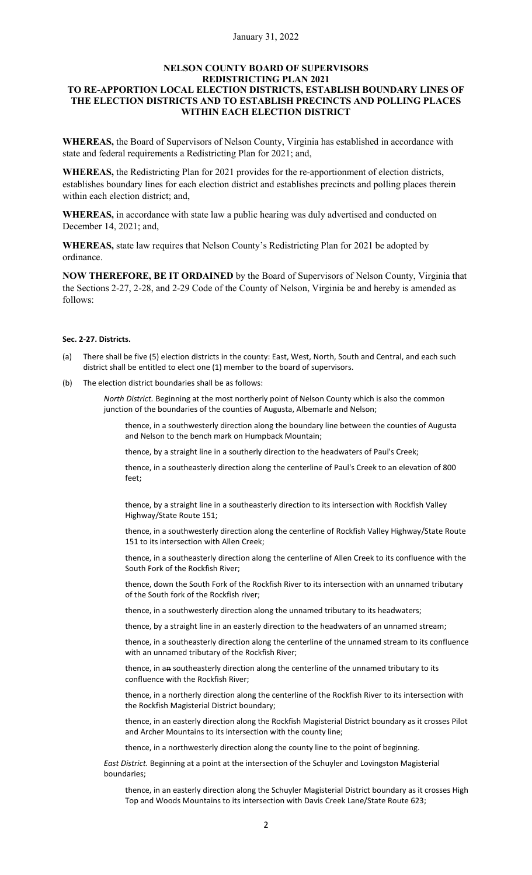### **NELSON COUNTY BOARD OF SUPERVISORS REDISTRICTING PLAN 2021 TO RE-APPORTION LOCAL ELECTION DISTRICTS, ESTABLISH BOUNDARY LINES OF THE ELECTION DISTRICTS AND TO ESTABLISH PRECINCTS AND POLLING PLACES WITHIN EACH ELECTION DISTRICT**

**WHEREAS,** the Board of Supervisors of Nelson County, Virginia has established in accordance with state and federal requirements a Redistricting Plan for 2021; and,

**WHEREAS,** the Redistricting Plan for 2021 provides for the re-apportionment of election districts, establishes boundary lines for each election district and establishes precincts and polling places therein within each election district; and,

**WHEREAS,** in accordance with state law a public hearing was duly advertised and conducted on December 14, 2021; and,

**WHEREAS,** state law requires that Nelson County's Redistricting Plan for 2021 be adopted by ordinance.

**NOW THEREFORE, BE IT ORDAINED** by the Board of Supervisors of Nelson County, Virginia that the Sections 2-27, 2-28, and 2-29 Code of the County of Nelson, Virginia be and hereby is amended as follows:

### **Sec. 2-27. Districts.**

- (a) There shall be five (5) election districts in the county: East, West, North, South and Central, and each such district shall be entitled to elect one (1) member to the board of supervisors.
- (b) The election district boundaries shall be as follows:

*North District.* Beginning at the most northerly point of Nelson County which is also the common junction of the boundaries of the counties of Augusta, Albemarle and Nelson;

thence, in a southwesterly direction along the boundary line between the counties of Augusta and Nelson to the bench mark on Humpback Mountain;

thence, by a straight line in a southerly direction to the headwaters of Paul's Creek;

thence, in a southeasterly direction along the centerline of Paul's Creek to an elevation of 800 feet;

thence, by a straight line in a southeasterly direction to its intersection with Rockfish Valley Highway/State Route 151;

thence, in a southwesterly direction along the centerline of Rockfish Valley Highway/State Route 151 to its intersection with Allen Creek;

thence, in a southeasterly direction along the centerline of Allen Creek to its confluence with the South Fork of the Rockfish River;

thence, down the South Fork of the Rockfish River to its intersection with an unnamed tributary of the South fork of the Rockfish river;

thence, in a southwesterly direction along the unnamed tributary to its headwaters;

thence, by a straight line in an easterly direction to the headwaters of an unnamed stream;

thence, in a southeasterly direction along the centerline of the unnamed stream to its confluence with an unnamed tributary of the Rockfish River;

thence, in an southeasterly direction along the centerline of the unnamed tributary to its confluence with the Rockfish River;

thence, in a northerly direction along the centerline of the Rockfish River to its intersection with the Rockfish Magisterial District boundary;

thence, in an easterly direction along the Rockfish Magisterial District boundary as it crosses Pilot and Archer Mountains to its intersection with the county line;

thence, in a northwesterly direction along the county line to the point of beginning.

*East District.* Beginning at a point at the intersection of the Schuyler and Lovingston Magisterial boundaries;

thence, in an easterly direction along the Schuyler Magisterial District boundary as it crosses High Top and Woods Mountains to its intersection with Davis Creek Lane/State Route 623;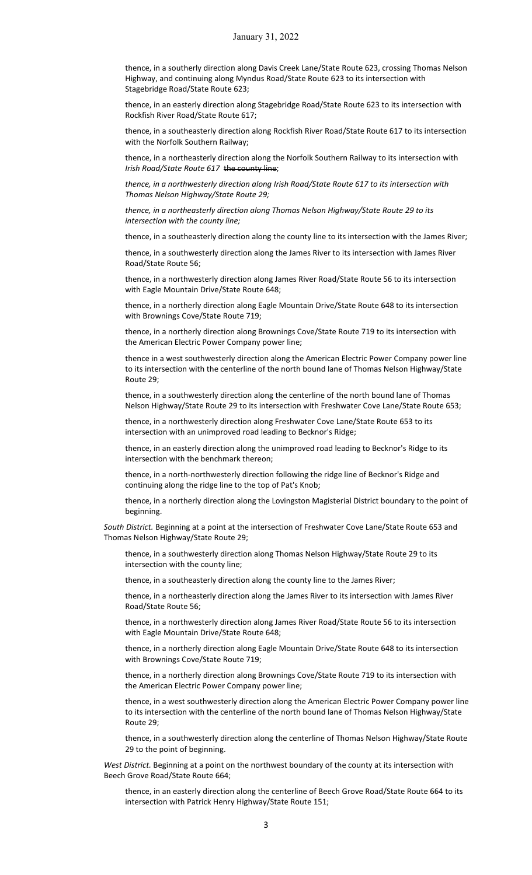thence, in a southerly direction along Davis Creek Lane/State Route 623, crossing Thomas Nelson Highway, and continuing along Myndus Road/State Route 623 to its intersection with Stagebridge Road/State Route 623;

thence, in an easterly direction along Stagebridge Road/State Route 623 to its intersection with Rockfish River Road/State Route 617;

thence, in a southeasterly direction along Rockfish River Road/State Route 617 to its intersection with the Norfolk Southern Railway;

thence, in a northeasterly direction along the Norfolk Southern Railway to its intersection with *Irish Road/State Route 617* the county line;

*thence, in a northwesterly direction along Irish Road/State Route 617 to its intersection with Thomas Nelson Highway/State Route 29;*

*thence, in a northeasterly direction along Thomas Nelson Highway/State Route 29 to its intersection with the county line;*

thence, in a southeasterly direction along the county line to its intersection with the James River;

thence, in a southwesterly direction along the James River to its intersection with James River Road/State Route 56;

thence, in a northwesterly direction along James River Road/State Route 56 to its intersection with Eagle Mountain Drive/State Route 648;

thence, in a northerly direction along Eagle Mountain Drive/State Route 648 to its intersection with Brownings Cove/State Route 719;

thence, in a northerly direction along Brownings Cove/State Route 719 to its intersection with the American Electric Power Company power line;

thence in a west southwesterly direction along the American Electric Power Company power line to its intersection with the centerline of the north bound lane of Thomas Nelson Highway/State Route 29;

thence, in a southwesterly direction along the centerline of the north bound lane of Thomas Nelson Highway/State Route 29 to its intersection with Freshwater Cove Lane/State Route 653;

thence, in a northwesterly direction along Freshwater Cove Lane/State Route 653 to its intersection with an unimproved road leading to Becknor's Ridge;

thence, in an easterly direction along the unimproved road leading to Becknor's Ridge to its intersection with the benchmark thereon;

thence, in a north-northwesterly direction following the ridge line of Becknor's Ridge and continuing along the ridge line to the top of Pat's Knob;

thence, in a northerly direction along the Lovingston Magisterial District boundary to the point of beginning.

*South District.* Beginning at a point at the intersection of Freshwater Cove Lane/State Route 653 and Thomas Nelson Highway/State Route 29;

thence, in a southwesterly direction along Thomas Nelson Highway/State Route 29 to its intersection with the county line;

thence, in a southeasterly direction along the county line to the James River;

thence, in a northeasterly direction along the James River to its intersection with James River Road/State Route 56;

thence, in a northwesterly direction along James River Road/State Route 56 to its intersection with Eagle Mountain Drive/State Route 648;

thence, in a northerly direction along Eagle Mountain Drive/State Route 648 to its intersection with Brownings Cove/State Route 719;

thence, in a northerly direction along Brownings Cove/State Route 719 to its intersection with the American Electric Power Company power line;

thence, in a west southwesterly direction along the American Electric Power Company power line to its intersection with the centerline of the north bound lane of Thomas Nelson Highway/State Route 29;

thence, in a southwesterly direction along the centerline of Thomas Nelson Highway/State Route 29 to the point of beginning.

*West District.* Beginning at a point on the northwest boundary of the county at its intersection with Beech Grove Road/State Route 664;

thence, in an easterly direction along the centerline of Beech Grove Road/State Route 664 to its intersection with Patrick Henry Highway/State Route 151;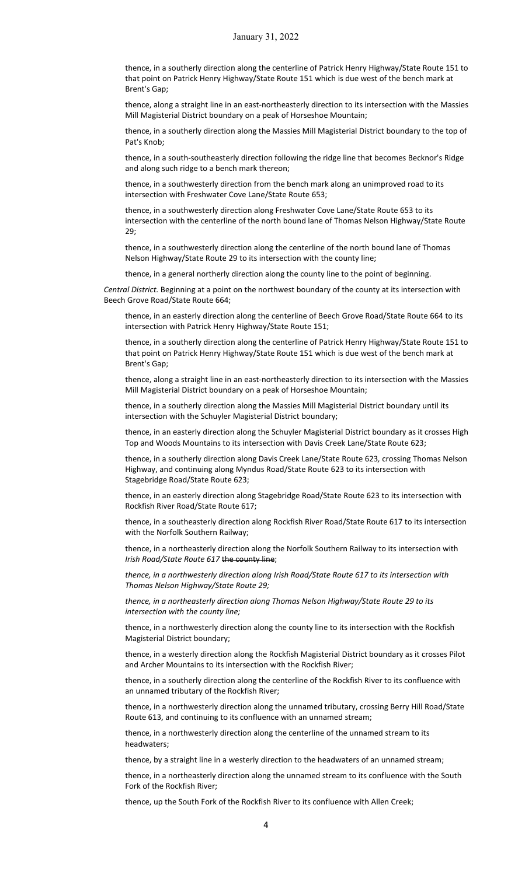thence, in a southerly direction along the centerline of Patrick Henry Highway/State Route 151 to that point on Patrick Henry Highway/State Route 151 which is due west of the bench mark at Brent's Gap;

thence, along a straight line in an east-northeasterly direction to its intersection with the Massies Mill Magisterial District boundary on a peak of Horseshoe Mountain;

thence, in a southerly direction along the Massies Mill Magisterial District boundary to the top of Pat's Knob;

thence, in a south-southeasterly direction following the ridge line that becomes Becknor's Ridge and along such ridge to a bench mark thereon;

thence, in a southwesterly direction from the bench mark along an unimproved road to its intersection with Freshwater Cove Lane/State Route 653;

thence, in a southwesterly direction along Freshwater Cove Lane/State Route 653 to its intersection with the centerline of the north bound lane of Thomas Nelson Highway/State Route 29;

thence, in a southwesterly direction along the centerline of the north bound lane of Thomas Nelson Highway/State Route 29 to its intersection with the county line;

thence, in a general northerly direction along the county line to the point of beginning.

*Central District.* Beginning at a point on the northwest boundary of the county at its intersection with Beech Grove Road/State Route 664;

thence, in an easterly direction along the centerline of Beech Grove Road/State Route 664 to its intersection with Patrick Henry Highway/State Route 151;

thence, in a southerly direction along the centerline of Patrick Henry Highway/State Route 151 to that point on Patrick Henry Highway/State Route 151 which is due west of the bench mark at Brent's Gap;

thence, along a straight line in an east-northeasterly direction to its intersection with the Massies Mill Magisterial District boundary on a peak of Horseshoe Mountain;

thence, in a southerly direction along the Massies Mill Magisterial District boundary until its intersection with the Schuyler Magisterial District boundary;

thence, in an easterly direction along the Schuyler Magisterial District boundary as it crosses High Top and Woods Mountains to its intersection with Davis Creek Lane/State Route 623;

thence, in a southerly direction along Davis Creek Lane/State Route 623*,* crossing Thomas Nelson Highway, and continuing along Myndus Road/State Route 623 to its intersection with Stagebridge Road/State Route 623;

thence, in an easterly direction along Stagebridge Road/State Route 623 to its intersection with Rockfish River Road/State Route 617;

thence, in a southeasterly direction along Rockfish River Road/State Route 617 to its intersection with the Norfolk Southern Railway;

thence, in a northeasterly direction along the Norfolk Southern Railway to its intersection with *Irish Road/State Route 617* the county line;

*thence, in a northwesterly direction along Irish Road/State Route 617 to its intersection with Thomas Nelson Highway/State Route 29;*

*thence, in a northeasterly direction along Thomas Nelson Highway/State Route 29 to its intersection with the county line;*

thence, in a northwesterly direction along the county line to its intersection with the Rockfish Magisterial District boundary;

thence, in a westerly direction along the Rockfish Magisterial District boundary as it crosses Pilot and Archer Mountains to its intersection with the Rockfish River;

thence, in a southerly direction along the centerline of the Rockfish River to its confluence with an unnamed tributary of the Rockfish River;

thence, in a northwesterly direction along the unnamed tributary, crossing Berry Hill Road/State Route 613, and continuing to its confluence with an unnamed stream;

thence, in a northwesterly direction along the centerline of the unnamed stream to its headwaters;

thence, by a straight line in a westerly direction to the headwaters of an unnamed stream;

thence, in a northeasterly direction along the unnamed stream to its confluence with the South Fork of the Rockfish River;

thence, up the South Fork of the Rockfish River to its confluence with Allen Creek;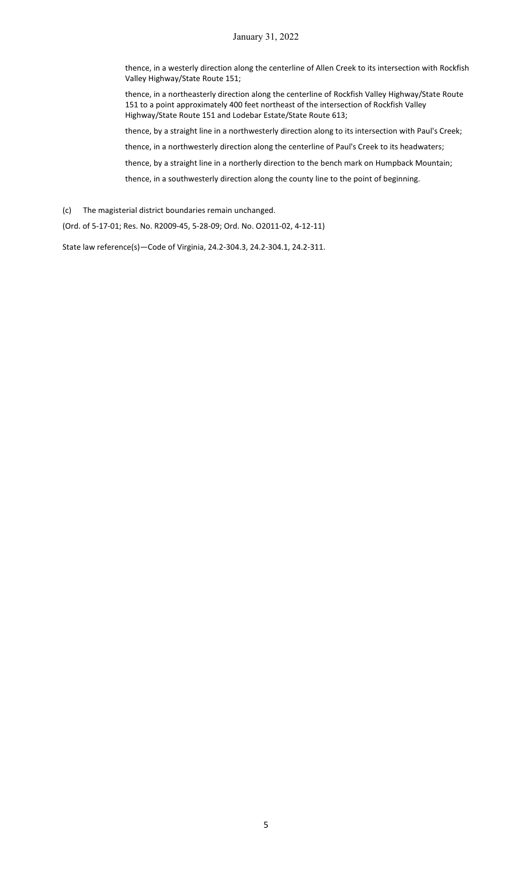### January 31, 2022

thence, in a westerly direction along the centerline of Allen Creek to its intersection with Rockfish Valley Highway/State Route 151;

thence, in a northeasterly direction along the centerline of Rockfish Valley Highway/State Route 151 to a point approximately 400 feet northeast of the intersection of Rockfish Valley Highway/State Route 151 and Lodebar Estate/State Route 613;

thence, by a straight line in a northwesterly direction along to its intersection with Paul's Creek;

thence, in a northwesterly direction along the centerline of Paul's Creek to its headwaters;

thence, by a straight line in a northerly direction to the bench mark on Humpback Mountain;

thence, in a southwesterly direction along the county line to the point of beginning.

(c) The magisterial district boundaries remain unchanged.

(Ord. of 5-17-01; Res. No. R2009-45, 5-28-09; Ord. No. O2011-02, 4-12-11)

State law reference(s)—Code of Virginia, 24.2-304.3, 24.2-304.1, 24.2-311.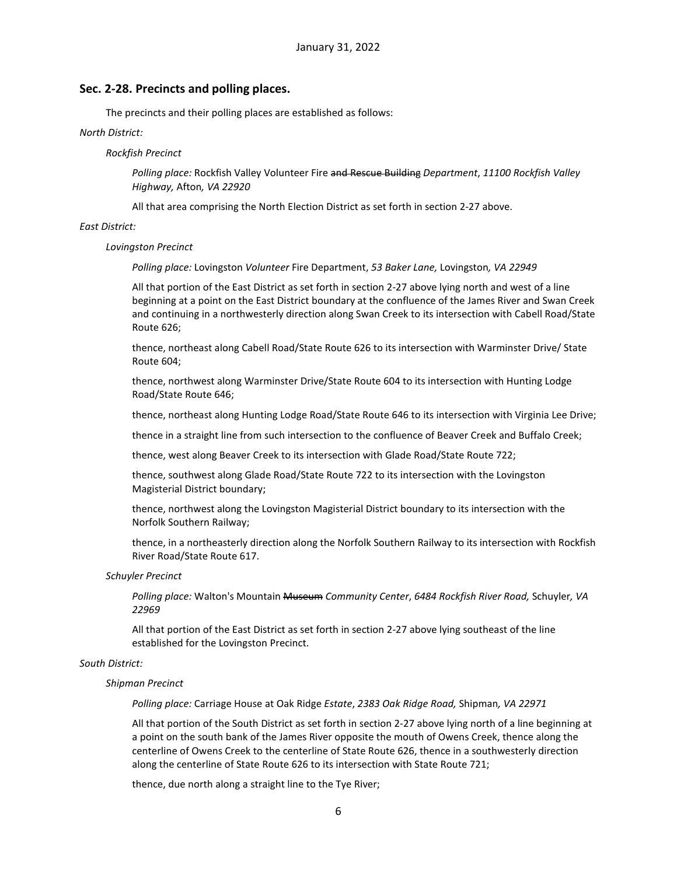#### **Sec. 2-28. Precincts and polling places.**

The precincts and their polling places are established as follows:

#### *North District:*

#### *Rockfish Precinct*

*Polling place:* Rockfish Valley Volunteer Fire and Rescue Building *Department*, *11100 Rockfish Valley Highway,* Afton*, VA 22920*

All that area comprising the North Election District as set forth in section 2-27 above.

#### *East District:*

#### *Lovingston Precinct*

*Polling place:* Lovingston *Volunteer* Fire Department, *53 Baker Lane,* Lovingston*, VA 22949*

All that portion of the East District as set forth in section 2-27 above lying north and west of a line beginning at a point on the East District boundary at the confluence of the James River and Swan Creek and continuing in a northwesterly direction along Swan Creek to its intersection with Cabell Road/State Route 626;

thence, northeast along Cabell Road/State Route 626 to its intersection with Warminster Drive/ State Route 604;

thence, northwest along Warminster Drive/State Route 604 to its intersection with Hunting Lodge Road/State Route 646;

thence, northeast along Hunting Lodge Road/State Route 646 to its intersection with Virginia Lee Drive;

thence in a straight line from such intersection to the confluence of Beaver Creek and Buffalo Creek;

thence, west along Beaver Creek to its intersection with Glade Road/State Route 722;

thence, southwest along Glade Road/State Route 722 to its intersection with the Lovingston Magisterial District boundary;

thence, northwest along the Lovingston Magisterial District boundary to its intersection with the Norfolk Southern Railway;

thence, in a northeasterly direction along the Norfolk Southern Railway to its intersection with Rockfish River Road/State Route 617.

#### *Schuyler Precinct*

*Polling place:* Walton's Mountain Museum *Community Center*, *6484 Rockfish River Road,* Schuyler*, VA 22969*

All that portion of the East District as set forth in section 2-27 above lying southeast of the line established for the Lovingston Precinct.

#### *South District:*

#### *Shipman Precinct*

*Polling place:* Carriage House at Oak Ridge *Estate*, *2383 Oak Ridge Road,* Shipman*, VA 22971*

All that portion of the South District as set forth in section 2-27 above lying north of a line beginning at a point on the south bank of the James River opposite the mouth of Owens Creek, thence along the centerline of Owens Creek to the centerline of State Route 626, thence in a southwesterly direction along the centerline of State Route 626 to its intersection with State Route 721;

thence, due north along a straight line to the Tye River;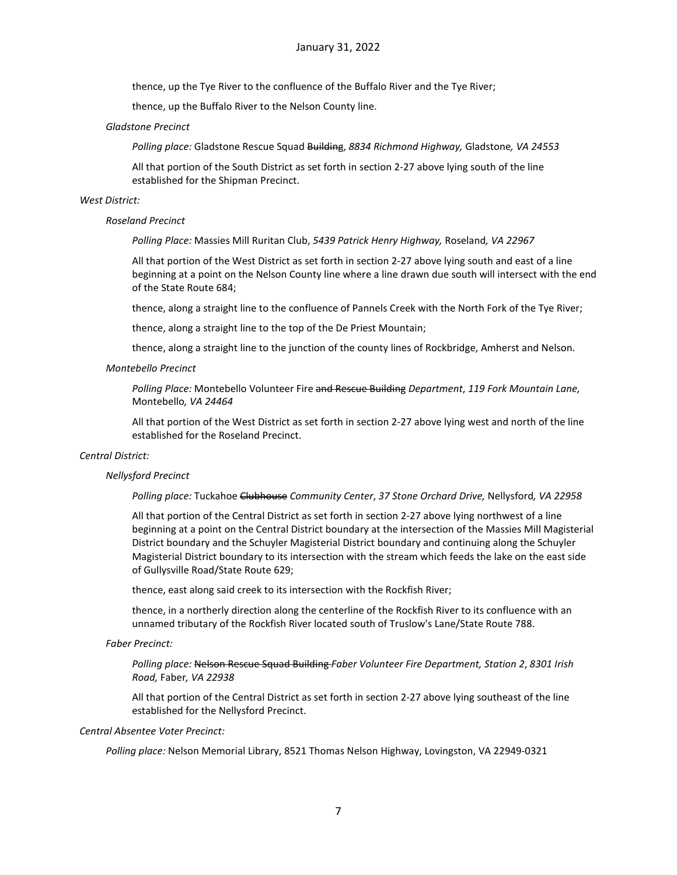thence, up the Tye River to the confluence of the Buffalo River and the Tye River;

thence, up the Buffalo River to the Nelson County line.

#### *Gladstone Precinct*

*Polling place:* Gladstone Rescue Squad Building, *8834 Richmond Highway,* Gladstone*, VA 24553*

All that portion of the South District as set forth in section 2-27 above lying south of the line established for the Shipman Precinct.

#### *West District:*

#### *Roseland Precinct*

*Polling Place:* Massies Mill Ruritan Club, *5439 Patrick Henry Highway,* Roseland*, VA 22967*

All that portion of the West District as set forth in section 2-27 above lying south and east of a line beginning at a point on the Nelson County line where a line drawn due south will intersect with the end of the State Route 684;

thence, along a straight line to the confluence of Pannels Creek with the North Fork of the Tye River;

thence, along a straight line to the top of the De Priest Mountain;

thence, along a straight line to the junction of the county lines of Rockbridge, Amherst and Nelson.

#### *Montebello Precinct*

*Polling Place:* Montebello Volunteer Fire and Rescue Building *Department*, *119 Fork Mountain Lane,*  Montebello*, VA 24464*

All that portion of the West District as set forth in section 2-27 above lying west and north of the line established for the Roseland Precinct.

#### *Central District:*

#### *Nellysford Precinct*

*Polling place:* Tuckahoe Clubhouse *Community Center*, *37 Stone Orchard Drive,* Nellysford*, VA 22958*

All that portion of the Central District as set forth in section 2-27 above lying northwest of a line beginning at a point on the Central District boundary at the intersection of the Massies Mill Magisterial District boundary and the Schuyler Magisterial District boundary and continuing along the Schuyler Magisterial District boundary to its intersection with the stream which feeds the lake on the east side of Gullysville Road/State Route 629;

thence, east along said creek to its intersection with the Rockfish River;

thence, in a northerly direction along the centerline of the Rockfish River to its confluence with an unnamed tributary of the Rockfish River located south of Truslow's Lane/State Route 788.

#### *Faber Precinct:*

*Polling place:* Nelson Rescue Squad Building *Faber Volunteer Fire Department, Station 2*, *8301 Irish Road,* Faber*, VA 22938*

All that portion of the Central District as set forth in section 2-27 above lying southeast of the line established for the Nellysford Precinct.

#### *Central Absentee Voter Precinct:*

*Polling place:* Nelson Memorial Library, 8521 Thomas Nelson Highway, Lovingston, VA 22949-0321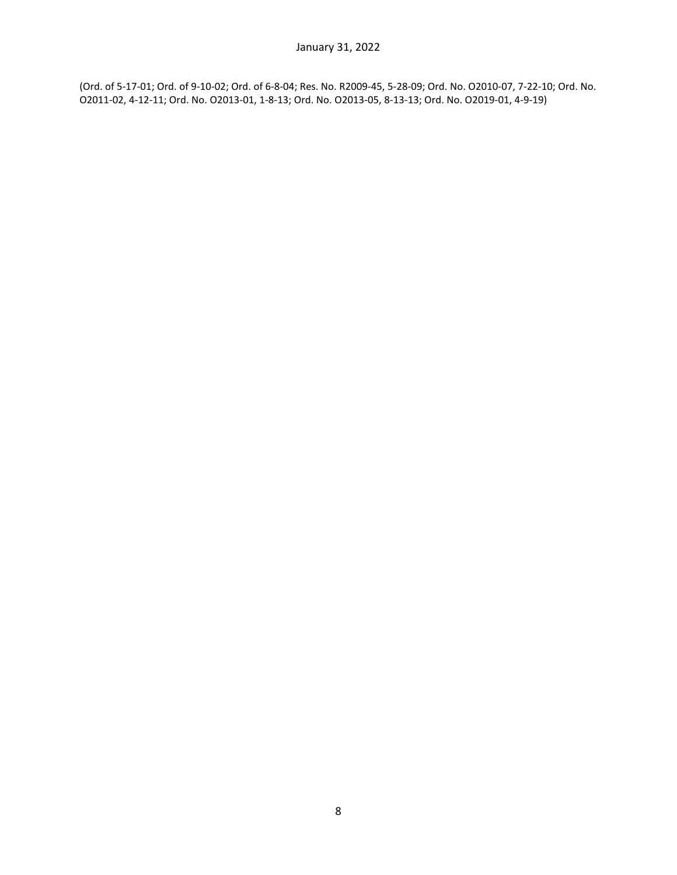(Ord. of 5-17-01; Ord. of 9-10-02; Ord. of 6-8-04; Res. No. R2009-45, 5-28-09; Ord. No. O2010-07, 7-22-10; Ord. No. O2011-02, 4-12-11; Ord. No. O2013-01, 1-8-13; Ord. No. O2013-05, 8-13-13; Ord. No. O2019-01, 4-9-19)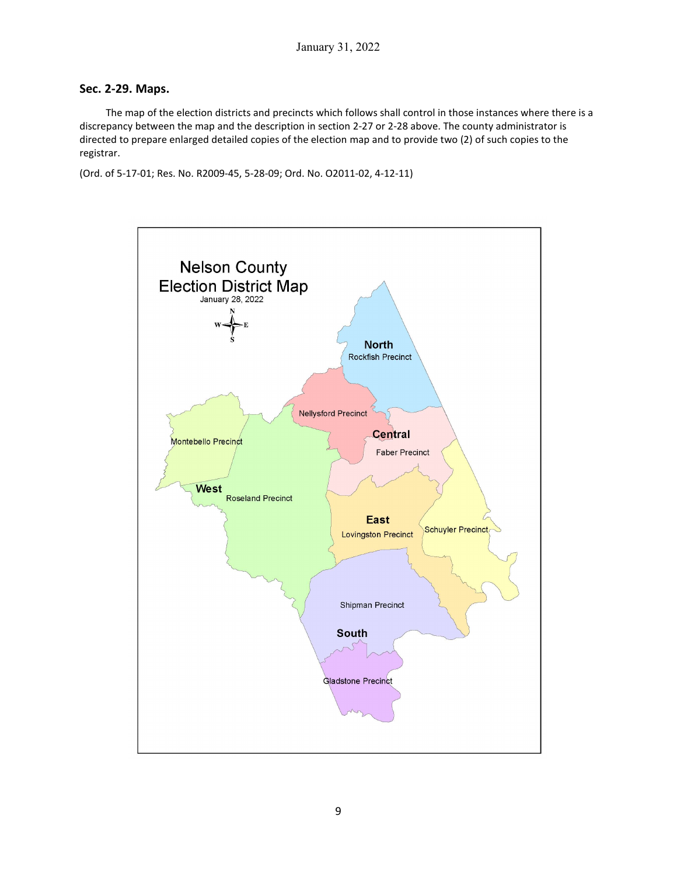# **Sec. 2-29. Maps.**

The map of the election districts and precincts which follows shall control in those instances where there is a discrepancy between the map and the description in section 2-27 or 2-28 above. The county administrator is directed to prepare enlarged detailed copies of the election map and to provide two (2) of such copies to the registrar.

(Ord. of 5-17-01; Res. No. R2009-45, 5-28-09; Ord. No. O2011-02, 4-12-11)

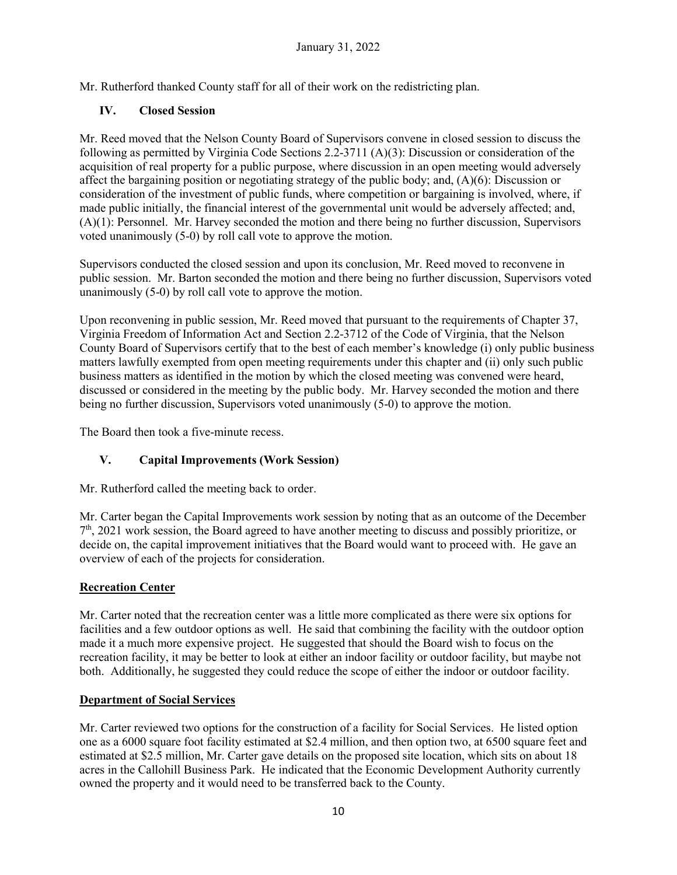Mr. Rutherford thanked County staff for all of their work on the redistricting plan.

# **IV. Closed Session**

Mr. Reed moved that the Nelson County Board of Supervisors convene in closed session to discuss the following as permitted by Virginia Code Sections 2.2-3711 (A)(3): Discussion or consideration of the acquisition of real property for a public purpose, where discussion in an open meeting would adversely affect the bargaining position or negotiating strategy of the public body; and, (A)(6): Discussion or consideration of the investment of public funds, where competition or bargaining is involved, where, if made public initially, the financial interest of the governmental unit would be adversely affected; and, (A)(1): Personnel. Mr. Harvey seconded the motion and there being no further discussion, Supervisors voted unanimously (5-0) by roll call vote to approve the motion.

Supervisors conducted the closed session and upon its conclusion, Mr. Reed moved to reconvene in public session. Mr. Barton seconded the motion and there being no further discussion, Supervisors voted unanimously (5-0) by roll call vote to approve the motion.

Upon reconvening in public session, Mr. Reed moved that pursuant to the requirements of Chapter 37, Virginia Freedom of Information Act and Section 2.2-3712 of the Code of Virginia, that the Nelson County Board of Supervisors certify that to the best of each member's knowledge (i) only public business matters lawfully exempted from open meeting requirements under this chapter and (ii) only such public business matters as identified in the motion by which the closed meeting was convened were heard, discussed or considered in the meeting by the public body. Mr. Harvey seconded the motion and there being no further discussion, Supervisors voted unanimously (5-0) to approve the motion.

The Board then took a five-minute recess.

# **V. Capital Improvements (Work Session)**

Mr. Rutherford called the meeting back to order.

Mr. Carter began the Capital Improvements work session by noting that as an outcome of the December  $7<sup>th</sup>$ , 2021 work session, the Board agreed to have another meeting to discuss and possibly prioritize, or decide on, the capital improvement initiatives that the Board would want to proceed with. He gave an overview of each of the projects for consideration.

# **Recreation Center**

Mr. Carter noted that the recreation center was a little more complicated as there were six options for facilities and a few outdoor options as well. He said that combining the facility with the outdoor option made it a much more expensive project. He suggested that should the Board wish to focus on the recreation facility, it may be better to look at either an indoor facility or outdoor facility, but maybe not both. Additionally, he suggested they could reduce the scope of either the indoor or outdoor facility.

# **Department of Social Services**

Mr. Carter reviewed two options for the construction of a facility for Social Services. He listed option one as a 6000 square foot facility estimated at \$2.4 million, and then option two, at 6500 square feet and estimated at \$2.5 million, Mr. Carter gave details on the proposed site location, which sits on about 18 acres in the Callohill Business Park. He indicated that the Economic Development Authority currently owned the property and it would need to be transferred back to the County.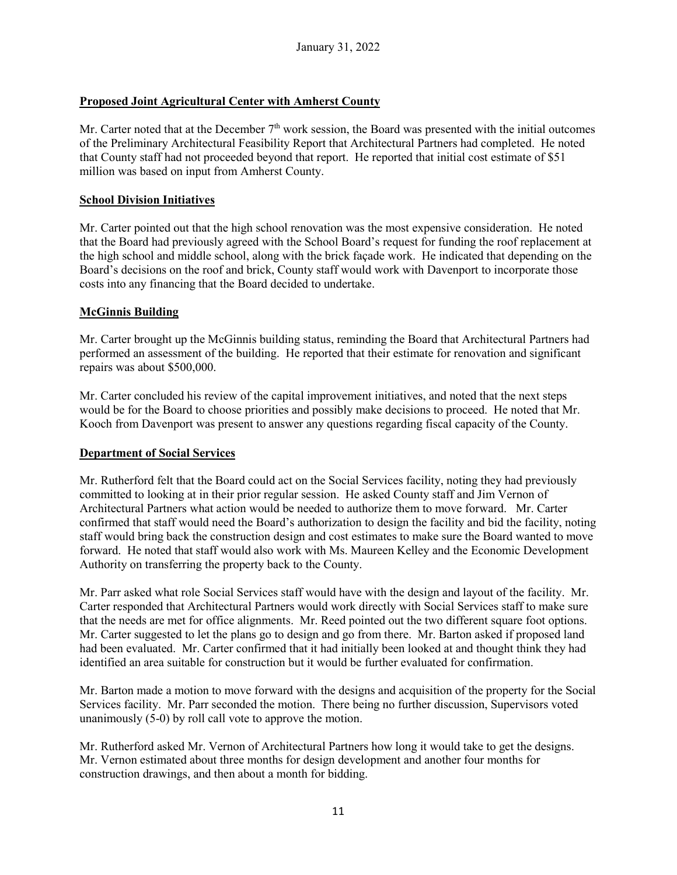# **Proposed Joint Agricultural Center with Amherst County**

Mr. Carter noted that at the December 7<sup>th</sup> work session, the Board was presented with the initial outcomes of the Preliminary Architectural Feasibility Report that Architectural Partners had completed. He noted that County staff had not proceeded beyond that report. He reported that initial cost estimate of \$51 million was based on input from Amherst County.

# **School Division Initiatives**

Mr. Carter pointed out that the high school renovation was the most expensive consideration. He noted that the Board had previously agreed with the School Board's request for funding the roof replacement at the high school and middle school, along with the brick façade work. He indicated that depending on the Board's decisions on the roof and brick, County staff would work with Davenport to incorporate those costs into any financing that the Board decided to undertake.

# **McGinnis Building**

Mr. Carter brought up the McGinnis building status, reminding the Board that Architectural Partners had performed an assessment of the building. He reported that their estimate for renovation and significant repairs was about \$500,000.

Mr. Carter concluded his review of the capital improvement initiatives, and noted that the next steps would be for the Board to choose priorities and possibly make decisions to proceed. He noted that Mr. Kooch from Davenport was present to answer any questions regarding fiscal capacity of the County.

# **Department of Social Services**

Mr. Rutherford felt that the Board could act on the Social Services facility, noting they had previously committed to looking at in their prior regular session. He asked County staff and Jim Vernon of Architectural Partners what action would be needed to authorize them to move forward. Mr. Carter confirmed that staff would need the Board's authorization to design the facility and bid the facility, noting staff would bring back the construction design and cost estimates to make sure the Board wanted to move forward. He noted that staff would also work with Ms. Maureen Kelley and the Economic Development Authority on transferring the property back to the County.

Mr. Parr asked what role Social Services staff would have with the design and layout of the facility. Mr. Carter responded that Architectural Partners would work directly with Social Services staff to make sure that the needs are met for office alignments. Mr. Reed pointed out the two different square foot options. Mr. Carter suggested to let the plans go to design and go from there. Mr. Barton asked if proposed land had been evaluated. Mr. Carter confirmed that it had initially been looked at and thought think they had identified an area suitable for construction but it would be further evaluated for confirmation.

Mr. Barton made a motion to move forward with the designs and acquisition of the property for the Social Services facility. Mr. Parr seconded the motion. There being no further discussion, Supervisors voted unanimously (5-0) by roll call vote to approve the motion.

Mr. Rutherford asked Mr. Vernon of Architectural Partners how long it would take to get the designs. Mr. Vernon estimated about three months for design development and another four months for construction drawings, and then about a month for bidding.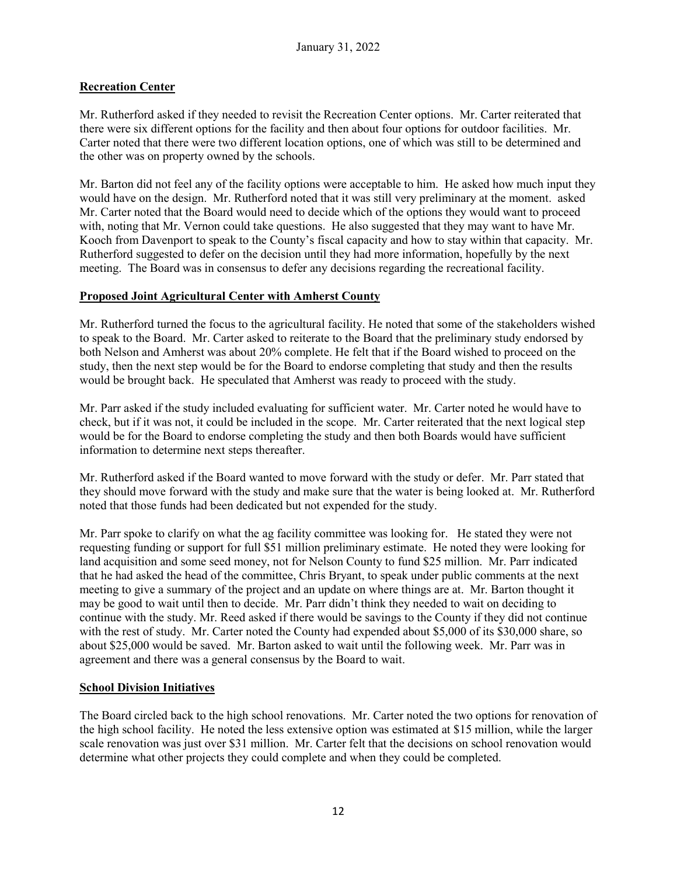# **Recreation Center**

Mr. Rutherford asked if they needed to revisit the Recreation Center options. Mr. Carter reiterated that there were six different options for the facility and then about four options for outdoor facilities. Mr. Carter noted that there were two different location options, one of which was still to be determined and the other was on property owned by the schools.

Mr. Barton did not feel any of the facility options were acceptable to him. He asked how much input they would have on the design. Mr. Rutherford noted that it was still very preliminary at the moment. asked Mr. Carter noted that the Board would need to decide which of the options they would want to proceed with, noting that Mr. Vernon could take questions. He also suggested that they may want to have Mr. Kooch from Davenport to speak to the County's fiscal capacity and how to stay within that capacity. Mr. Rutherford suggested to defer on the decision until they had more information, hopefully by the next meeting. The Board was in consensus to defer any decisions regarding the recreational facility.

### **Proposed Joint Agricultural Center with Amherst County**

Mr. Rutherford turned the focus to the agricultural facility. He noted that some of the stakeholders wished to speak to the Board. Mr. Carter asked to reiterate to the Board that the preliminary study endorsed by both Nelson and Amherst was about 20% complete. He felt that if the Board wished to proceed on the study, then the next step would be for the Board to endorse completing that study and then the results would be brought back. He speculated that Amherst was ready to proceed with the study.

Mr. Parr asked if the study included evaluating for sufficient water. Mr. Carter noted he would have to check, but if it was not, it could be included in the scope. Mr. Carter reiterated that the next logical step would be for the Board to endorse completing the study and then both Boards would have sufficient information to determine next steps thereafter.

Mr. Rutherford asked if the Board wanted to move forward with the study or defer. Mr. Parr stated that they should move forward with the study and make sure that the water is being looked at. Mr. Rutherford noted that those funds had been dedicated but not expended for the study.

Mr. Parr spoke to clarify on what the ag facility committee was looking for. He stated they were not requesting funding or support for full \$51 million preliminary estimate. He noted they were looking for land acquisition and some seed money, not for Nelson County to fund \$25 million. Mr. Parr indicated that he had asked the head of the committee, Chris Bryant, to speak under public comments at the next meeting to give a summary of the project and an update on where things are at. Mr. Barton thought it may be good to wait until then to decide. Mr. Parr didn't think they needed to wait on deciding to continue with the study. Mr. Reed asked if there would be savings to the County if they did not continue with the rest of study. Mr. Carter noted the County had expended about \$5,000 of its \$30,000 share, so about \$25,000 would be saved. Mr. Barton asked to wait until the following week. Mr. Parr was in agreement and there was a general consensus by the Board to wait.

# **School Division Initiatives**

The Board circled back to the high school renovations. Mr. Carter noted the two options for renovation of the high school facility. He noted the less extensive option was estimated at \$15 million, while the larger scale renovation was just over \$31 million. Mr. Carter felt that the decisions on school renovation would determine what other projects they could complete and when they could be completed.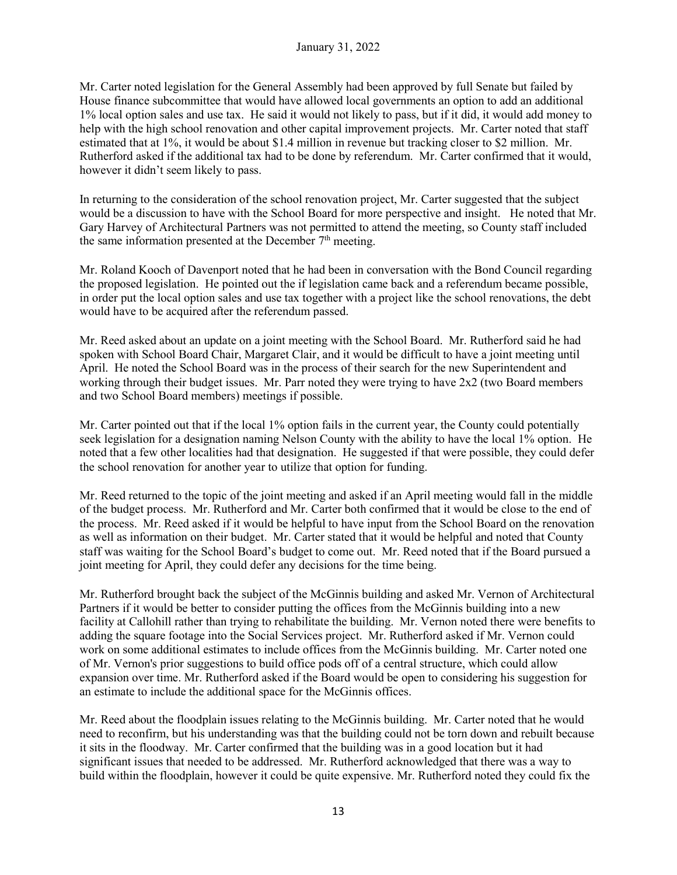Mr. Carter noted legislation for the General Assembly had been approved by full Senate but failed by House finance subcommittee that would have allowed local governments an option to add an additional 1% local option sales and use tax. He said it would not likely to pass, but if it did, it would add money to help with the high school renovation and other capital improvement projects. Mr. Carter noted that staff estimated that at 1%, it would be about \$1.4 million in revenue but tracking closer to \$2 million. Mr. Rutherford asked if the additional tax had to be done by referendum. Mr. Carter confirmed that it would, however it didn't seem likely to pass.

In returning to the consideration of the school renovation project, Mr. Carter suggested that the subject would be a discussion to have with the School Board for more perspective and insight. He noted that Mr. Gary Harvey of Architectural Partners was not permitted to attend the meeting, so County staff included the same information presented at the December  $7<sup>th</sup>$  meeting.

Mr. Roland Kooch of Davenport noted that he had been in conversation with the Bond Council regarding the proposed legislation. He pointed out the if legislation came back and a referendum became possible, in order put the local option sales and use tax together with a project like the school renovations, the debt would have to be acquired after the referendum passed.

Mr. Reed asked about an update on a joint meeting with the School Board. Mr. Rutherford said he had spoken with School Board Chair, Margaret Clair, and it would be difficult to have a joint meeting until April. He noted the School Board was in the process of their search for the new Superintendent and working through their budget issues. Mr. Parr noted they were trying to have 2x2 (two Board members and two School Board members) meetings if possible.

Mr. Carter pointed out that if the local 1% option fails in the current year, the County could potentially seek legislation for a designation naming Nelson County with the ability to have the local 1% option. He noted that a few other localities had that designation. He suggested if that were possible, they could defer the school renovation for another year to utilize that option for funding.

Mr. Reed returned to the topic of the joint meeting and asked if an April meeting would fall in the middle of the budget process. Mr. Rutherford and Mr. Carter both confirmed that it would be close to the end of the process. Mr. Reed asked if it would be helpful to have input from the School Board on the renovation as well as information on their budget. Mr. Carter stated that it would be helpful and noted that County staff was waiting for the School Board's budget to come out. Mr. Reed noted that if the Board pursued a joint meeting for April, they could defer any decisions for the time being.

Mr. Rutherford brought back the subject of the McGinnis building and asked Mr. Vernon of Architectural Partners if it would be better to consider putting the offices from the McGinnis building into a new facility at Callohill rather than trying to rehabilitate the building. Mr. Vernon noted there were benefits to adding the square footage into the Social Services project. Mr. Rutherford asked if Mr. Vernon could work on some additional estimates to include offices from the McGinnis building. Mr. Carter noted one of Mr. Vernon's prior suggestions to build office pods off of a central structure, which could allow expansion over time. Mr. Rutherford asked if the Board would be open to considering his suggestion for an estimate to include the additional space for the McGinnis offices.

Mr. Reed about the floodplain issues relating to the McGinnis building. Mr. Carter noted that he would need to reconfirm, but his understanding was that the building could not be torn down and rebuilt because it sits in the floodway. Mr. Carter confirmed that the building was in a good location but it had significant issues that needed to be addressed. Mr. Rutherford acknowledged that there was a way to build within the floodplain, however it could be quite expensive. Mr. Rutherford noted they could fix the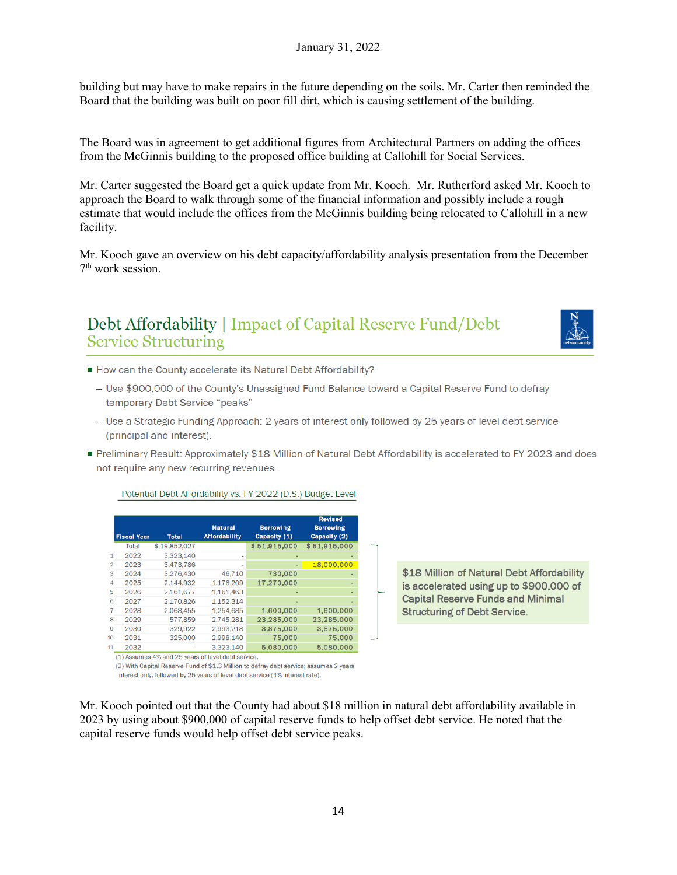building but may have to make repairs in the future depending on the soils. Mr. Carter then reminded the Board that the building was built on poor fill dirt, which is causing settlement of the building.

The Board was in agreement to get additional figures from Architectural Partners on adding the offices from the McGinnis building to the proposed office building at Callohill for Social Services.

Mr. Carter suggested the Board get a quick update from Mr. Kooch. Mr. Rutherford asked Mr. Kooch to approach the Board to walk through some of the financial information and possibly include a rough estimate that would include the offices from the McGinnis building being relocated to Callohill in a new facility.

Mr. Kooch gave an overview on his debt capacity/affordability analysis presentation from the December 7th work session.

# Debt Affordability | Impact of Capital Reserve Fund/Debt **Service Structuring**



- How can the County accelerate its Natural Debt Affordability?
	- Use \$900,000 of the County's Unassigned Fund Balance toward a Capital Reserve Fund to defray temporary Debt Service "peaks"
	- Use a Strategic Funding Approach: 2 years of interest only followed by 25 years of level debt service (principal and interest).
- Preliminary Result: Approximately \$18 Million of Natural Debt Affordability is accelerated to FY 2023 and does not require any new recurring revenues.

|                | <b>Fiscal Year</b> | <b>Total</b>                                       | <b>Natural</b><br><b>Affordability</b> | <b>Borrowing</b><br>Capacity (1)                                                       | <b>Revised</b><br><b>Borrowing</b><br>Capacity (2) |
|----------------|--------------------|----------------------------------------------------|----------------------------------------|----------------------------------------------------------------------------------------|----------------------------------------------------|
|                | Total              | \$19,852,027                                       |                                        | \$51,915,000                                                                           | \$51,915,000                                       |
| 1              | 2022               | 3,323,140                                          |                                        |                                                                                        |                                                    |
| $\overline{2}$ | 2023               | 3,473,786                                          |                                        |                                                                                        | 18,000,000                                         |
| 3              | 2024               | 3,276,430                                          | 46,710                                 | 730,000                                                                                |                                                    |
| 4              | 2025               | 2,144,932                                          | 1,178,209                              | 17,270,000                                                                             |                                                    |
| 5              | 2026               | 2,161,677                                          | 1,161,463                              |                                                                                        |                                                    |
| 6              | 2027               | 2.170.826                                          | 1,152,314                              |                                                                                        |                                                    |
| $\overline{7}$ | 2028               | 2.068.455                                          | 1,254,685                              | 1,600,000                                                                              | 1,600,000                                          |
| 8              | 2029               | 577,859                                            | 2.745.281                              | 23,285,000                                                                             | 23,285,000                                         |
| 9              | 2030               | 329.922                                            | 2.993.218                              | 3,875,000                                                                              | 3,875,000                                          |
| 10             | 2031               | 325,000                                            | 2.998.140                              | 75,000                                                                                 | 75,000                                             |
| 11             | 2032               |                                                    | 3,323,140                              | 5.080.000                                                                              | 5.080.000                                          |
|                |                    | (1) Assumes 4% and 25 years of level debt service. |                                        | (2) With Capital Reserve Fund of \$1.3 Million to defray debt service: assumes 2 years |                                                    |

interest only, followed by 25 years of level debt service (4% interest rate).

Potential Debt Affordability vs. FY 2022 (D.S.) Budget Level

\$18 Million of Natural Debt Affordability is accelerated using up to \$900,000 of **Capital Reserve Funds and Minimal Structuring of Debt Service.** 

Mr. Kooch pointed out that the County had about \$18 million in natural debt affordability available in 2023 by using about \$900,000 of capital reserve funds to help offset debt service. He noted that the capital reserve funds would help offset debt service peaks.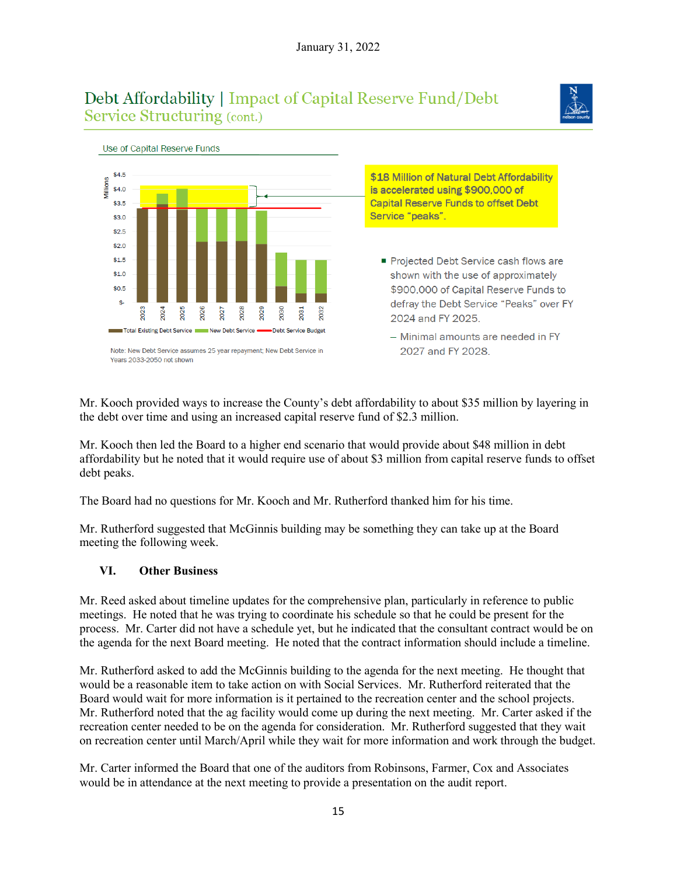# Debt Affordability | Impact of Capital Reserve Fund/Debt Service Structuring (cont.)





Mr. Kooch provided ways to increase the County's debt affordability to about \$35 million by layering in the debt over time and using an increased capital reserve fund of \$2.3 million.

Mr. Kooch then led the Board to a higher end scenario that would provide about \$48 million in debt affordability but he noted that it would require use of about \$3 million from capital reserve funds to offset debt peaks.

The Board had no questions for Mr. Kooch and Mr. Rutherford thanked him for his time.

Mr. Rutherford suggested that McGinnis building may be something they can take up at the Board meeting the following week.

### **VI. Other Business**

Mr. Reed asked about timeline updates for the comprehensive plan, particularly in reference to public meetings. He noted that he was trying to coordinate his schedule so that he could be present for the process. Mr. Carter did not have a schedule yet, but he indicated that the consultant contract would be on the agenda for the next Board meeting. He noted that the contract information should include a timeline.

Mr. Rutherford asked to add the McGinnis building to the agenda for the next meeting. He thought that would be a reasonable item to take action on with Social Services. Mr. Rutherford reiterated that the Board would wait for more information is it pertained to the recreation center and the school projects. Mr. Rutherford noted that the ag facility would come up during the next meeting. Mr. Carter asked if the recreation center needed to be on the agenda for consideration. Mr. Rutherford suggested that they wait on recreation center until March/April while they wait for more information and work through the budget.

Mr. Carter informed the Board that one of the auditors from Robinsons, Farmer, Cox and Associates would be in attendance at the next meeting to provide a presentation on the audit report.